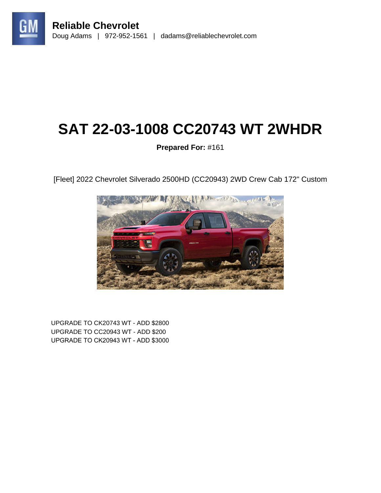

# **SAT 22-03-1008 CC20743 WT 2WHDR**

## **Prepared For:** #161

[Fleet] 2022 Chevrolet Silverado 2500HD (CC20943) 2WD Crew Cab 172" Custom



UPGRADE TO CK20743 WT - ADD \$2800 UPGRADE TO CC20943 WT - ADD \$200 UPGRADE TO CK20943 WT - ADD \$3000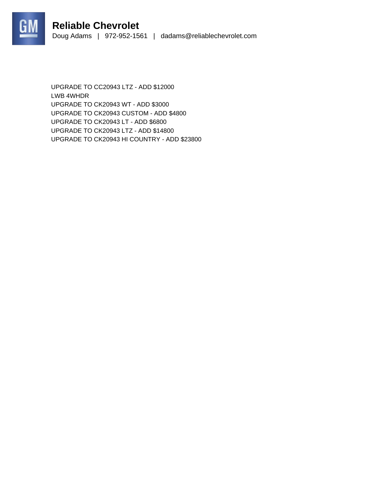



UPGRADE TO CC20943 LTZ - ADD \$12000 LWB 4WHDR UPGRADE TO CK20943 WT - ADD \$3000 UPGRADE TO CK20943 CUSTOM - ADD \$4800 UPGRADE TO CK20943 LT - ADD \$6800 UPGRADE TO CK20943 LTZ - ADD \$14800 UPGRADE TO CK20943 HI COUNTRY - ADD \$23800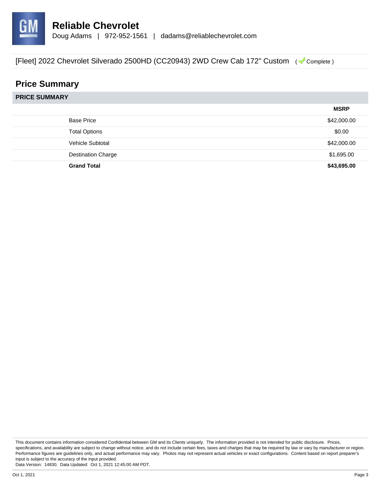

## **Price Summary**

|                           | <b>MSRP</b> |
|---------------------------|-------------|
| <b>Base Price</b>         | \$42,000.00 |
| <b>Total Options</b>      | \$0.00      |
| Vehicle Subtotal          | \$42,000.00 |
| <b>Destination Charge</b> | \$1,695.00  |
| <b>Grand Total</b>        | \$43,695.00 |

This document contains information considered Confidential between GM and its Clients uniquely. The information provided is not intended for public disclosure. Prices, specifications, and availability are subject to change without notice, and do not include certain fees, taxes and charges that may be required by law or vary by manufacturer or region. Performance figures are guidelines only, and actual performance may vary. Photos may not represent actual vehicles or exact configurations. Content based on report preparer's input is subject to the accuracy of the input provided.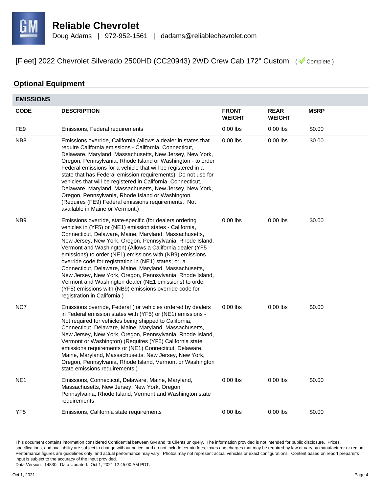

#### **Optional Equipment**

| <b>EMISSIONS</b> |                                                                                                                                                                                                                                                                                                                                                                                                                                                                                                                                                                                                                                                                                                         |                               |                              |             |
|------------------|---------------------------------------------------------------------------------------------------------------------------------------------------------------------------------------------------------------------------------------------------------------------------------------------------------------------------------------------------------------------------------------------------------------------------------------------------------------------------------------------------------------------------------------------------------------------------------------------------------------------------------------------------------------------------------------------------------|-------------------------------|------------------------------|-------------|
| <b>CODE</b>      | <b>DESCRIPTION</b>                                                                                                                                                                                                                                                                                                                                                                                                                                                                                                                                                                                                                                                                                      | <b>FRONT</b><br><b>WEIGHT</b> | <b>REAR</b><br><b>WEIGHT</b> | <b>MSRP</b> |
| FE9              | Emissions, Federal requirements                                                                                                                                                                                                                                                                                                                                                                                                                                                                                                                                                                                                                                                                         | $0.00$ lbs                    | $0.00$ lbs                   | \$0.00      |
| NB <sub>8</sub>  | Emissions override, California (allows a dealer in states that<br>require California emissions - California, Connecticut,<br>Delaware, Maryland, Massachusetts, New Jersey, New York,<br>Oregon, Pennsylvania, Rhode Island or Washington - to order<br>Federal emissions for a vehicle that will be registered in a<br>state that has Federal emission requirements). Do not use for<br>vehicles that will be registered in California, Connecticut,<br>Delaware, Maryland, Massachusetts, New Jersey, New York,<br>Oregon, Pennsylvania, Rhode Island or Washington.<br>(Requires (FE9) Federal emissions requirements. Not<br>available in Maine or Vermont.)                                        | $0.00$ lbs                    | $0.00$ lbs                   | \$0.00      |
| NB <sub>9</sub>  | Emissions override, state-specific (for dealers ordering<br>vehicles in (YF5) or (NE1) emission states - California,<br>Connecticut, Delaware, Maine, Maryland, Massachusetts,<br>New Jersey, New York, Oregon, Pennsylvania, Rhode Island,<br>Vermont and Washington) (Allows a California dealer (YF5<br>emissions) to order (NE1) emissions with (NB9) emissions<br>override code for registration in (NE1) states; or, a<br>Connecticut, Delaware, Maine, Maryland, Massachusetts,<br>New Jersey, New York, Oregon, Pennsylvania, Rhode Island,<br>Vermont and Washington dealer (NE1 emissions) to order<br>(YF5) emissions with (NB9) emissions override code for<br>registration in California.) | $0.00$ lbs                    | $0.00$ lbs                   | \$0.00      |
| NC7              | Emissions override, Federal (for vehicles ordered by dealers<br>in Federal emission states with (YF5) or (NE1) emissions -<br>Not required for vehicles being shipped to California,<br>Connecticut, Delaware, Maine, Maryland, Massachusetts,<br>New Jersey, New York, Oregon, Pennsylvania, Rhode Island,<br>Vermont or Washington) (Requires (YF5) California state<br>emissions requirements or (NE1) Connecticut, Delaware,<br>Maine, Maryland, Massachusetts, New Jersey, New York,<br>Oregon, Pennsylvania, Rhode Island, Vermont or Washington<br>state emissions requirements.)                                                                                                                | $0.00$ lbs                    | $0.00$ lbs                   | \$0.00      |
| NE <sub>1</sub>  | Emissions, Connecticut, Delaware, Maine, Maryland,<br>Massachusetts, New Jersey, New York, Oregon,<br>Pennsylvania, Rhode Island, Vermont and Washington state<br>requirements                                                                                                                                                                                                                                                                                                                                                                                                                                                                                                                          | $0.00$ lbs                    | $0.00$ lbs                   | \$0.00      |
| YF <sub>5</sub>  | Emissions, California state requirements                                                                                                                                                                                                                                                                                                                                                                                                                                                                                                                                                                                                                                                                | $0.00$ lbs                    | $0.00$ lbs                   | \$0.00      |

This document contains information considered Confidential between GM and its Clients uniquely. The information provided is not intended for public disclosure. Prices, specifications, and availability are subject to change without notice, and do not include certain fees, taxes and charges that may be required by law or vary by manufacturer or region. Performance figures are guidelines only, and actual performance may vary. Photos may not represent actual vehicles or exact configurations. Content based on report preparer's input is subject to the accuracy of the input provided.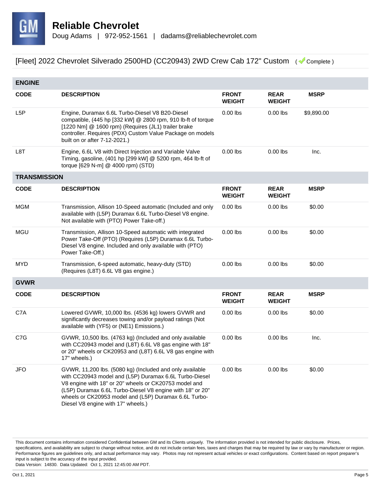

| <b>ENGINE</b>       |                                                                                                                                                                                                                                                                                                                                         |                               |                              |             |
|---------------------|-----------------------------------------------------------------------------------------------------------------------------------------------------------------------------------------------------------------------------------------------------------------------------------------------------------------------------------------|-------------------------------|------------------------------|-------------|
| <b>CODE</b>         | <b>DESCRIPTION</b>                                                                                                                                                                                                                                                                                                                      | <b>FRONT</b><br><b>WEIGHT</b> | <b>REAR</b><br><b>WEIGHT</b> | <b>MSRP</b> |
| L <sub>5</sub> P    | Engine, Duramax 6.6L Turbo-Diesel V8 B20-Diesel<br>compatible, (445 hp [332 kW] @ 2800 rpm, 910 lb-ft of torque<br>[1220 Nm] @ 1600 rpm) (Requires (JL1) trailer brake<br>controller. Requires (PDX) Custom Value Package on models<br>built on or after 7-12-2021.)                                                                    | $0.00$ lbs                    | $0.00$ lbs                   | \$9,890.00  |
| L8T                 | Engine, 6.6L V8 with Direct Injection and Variable Valve<br>Timing, gasoline, (401 hp [299 kW] @ 5200 rpm, 464 lb-ft of<br>torque [629 N-m] @ 4000 rpm) (STD)                                                                                                                                                                           | $0.00$ lbs                    | $0.00$ lbs                   | Inc.        |
| <b>TRANSMISSION</b> |                                                                                                                                                                                                                                                                                                                                         |                               |                              |             |
| <b>CODE</b>         | <b>DESCRIPTION</b>                                                                                                                                                                                                                                                                                                                      | <b>FRONT</b><br><b>WEIGHT</b> | <b>REAR</b><br><b>WEIGHT</b> | <b>MSRP</b> |
| <b>MGM</b>          | Transmission, Allison 10-Speed automatic (Included and only<br>available with (L5P) Duramax 6.6L Turbo-Diesel V8 engine.<br>Not available with (PTO) Power Take-off.)                                                                                                                                                                   | $0.00$ lbs                    | $0.00$ lbs                   | \$0.00      |
| <b>MGU</b>          | Transmission, Allison 10-Speed automatic with integrated<br>Power Take-Off (PTO) (Requires (L5P) Duramax 6.6L Turbo-<br>Diesel V8 engine. Included and only available with (PTO)<br>Power Take-Off.)                                                                                                                                    | $0.00$ lbs                    | $0.00$ lbs                   | \$0.00      |
| <b>MYD</b>          | Transmission, 6-speed automatic, heavy-duty (STD)<br>(Requires (L8T) 6.6L V8 gas engine.)                                                                                                                                                                                                                                               | $0.00$ lbs                    | $0.00$ lbs                   | \$0.00      |
| <b>GVWR</b>         |                                                                                                                                                                                                                                                                                                                                         |                               |                              |             |
| <b>CODE</b>         | <b>DESCRIPTION</b>                                                                                                                                                                                                                                                                                                                      | <b>FRONT</b><br><b>WEIGHT</b> | <b>REAR</b><br><b>WEIGHT</b> | <b>MSRP</b> |
| C7A                 | Lowered GVWR, 10,000 lbs. (4536 kg) lowers GVWR and<br>significantly decreases towing and/or payload ratings (Not<br>available with (YF5) or (NE1) Emissions.)                                                                                                                                                                          | $0.00$ lbs                    | $0.00$ lbs                   | \$0.00      |
| C7G                 | GVWR, 10,500 lbs. (4763 kg) (Included and only available<br>with CC20943 model and (L8T) 6.6L V8 gas engine with 18"<br>or 20" wheels or CK20953 and (L8T) 6.6L V8 gas engine with<br>17" wheels.)                                                                                                                                      | $0.00$ lbs                    | $0.00$ lbs                   | Inc.        |
| <b>JFO</b>          | GVWR, 11,200 lbs. (5080 kg) (Included and only available<br>with CC20943 model and (L5P) Duramax 6.6L Turbo-Diesel<br>V8 engine with 18" or 20" wheels or CK20753 model and<br>(L5P) Duramax 6.6L Turbo-Diesel V8 engine with 18" or 20"<br>wheels or CK20953 model and (L5P) Duramax 6.6L Turbo-<br>Diesel V8 engine with 17" wheels.) | $0.00$ lbs                    | $0.00$ lbs                   | \$0.00      |

This document contains information considered Confidential between GM and its Clients uniquely. The information provided is not intended for public disclosure. Prices, specifications, and availability are subject to change without notice, and do not include certain fees, taxes and charges that may be required by law or vary by manufacturer or region. Performance figures are guidelines only, and actual performance may vary. Photos may not represent actual vehicles or exact configurations. Content based on report preparer's input is subject to the accuracy of the input provided.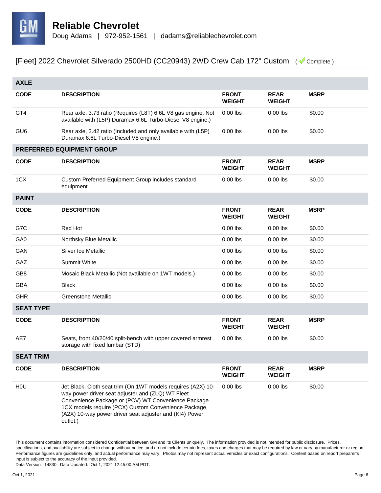

| <b>AXLE</b>      |                                                                                                                                                                                                                                                                                                          |                               |                              |             |  |
|------------------|----------------------------------------------------------------------------------------------------------------------------------------------------------------------------------------------------------------------------------------------------------------------------------------------------------|-------------------------------|------------------------------|-------------|--|
| <b>CODE</b>      | <b>DESCRIPTION</b>                                                                                                                                                                                                                                                                                       | <b>FRONT</b><br><b>WEIGHT</b> | <b>REAR</b><br><b>WEIGHT</b> | <b>MSRP</b> |  |
| GT4              | Rear axle, 3.73 ratio (Requires (L8T) 6.6L V8 gas engine. Not<br>available with (L5P) Duramax 6.6L Turbo-Diesel V8 engine.)                                                                                                                                                                              | $0.00$ lbs                    | $0.00$ lbs                   | \$0.00      |  |
| GU <sub>6</sub>  | Rear axle, 3.42 ratio (Included and only available with (L5P)<br>Duramax 6.6L Turbo-Diesel V8 engine.)                                                                                                                                                                                                   | $0.00$ lbs                    | $0.00$ lbs                   | \$0.00      |  |
|                  | PREFERRED EQUIPMENT GROUP                                                                                                                                                                                                                                                                                |                               |                              |             |  |
| <b>CODE</b>      | <b>DESCRIPTION</b>                                                                                                                                                                                                                                                                                       | <b>FRONT</b><br><b>WEIGHT</b> | <b>REAR</b><br><b>WEIGHT</b> | <b>MSRP</b> |  |
| 1CX              | Custom Preferred Equipment Group includes standard<br>equipment                                                                                                                                                                                                                                          | $0.00$ lbs                    | $0.00$ lbs                   | \$0.00      |  |
| <b>PAINT</b>     |                                                                                                                                                                                                                                                                                                          |                               |                              |             |  |
| <b>CODE</b>      | <b>DESCRIPTION</b>                                                                                                                                                                                                                                                                                       | <b>FRONT</b><br><b>WEIGHT</b> | <b>REAR</b><br><b>WEIGHT</b> | <b>MSRP</b> |  |
| G7C              | Red Hot                                                                                                                                                                                                                                                                                                  | $0.00$ lbs                    | $0.00$ lbs                   | \$0.00      |  |
| GA0              | Northsky Blue Metallic                                                                                                                                                                                                                                                                                   | $0.00$ lbs                    | $0.00$ lbs                   | \$0.00      |  |
| GAN              | Silver Ice Metallic                                                                                                                                                                                                                                                                                      | $0.00$ lbs                    | $0.00$ lbs                   | \$0.00      |  |
| GAZ              | Summit White                                                                                                                                                                                                                                                                                             | $0.00$ lbs                    | $0.00$ lbs                   | \$0.00      |  |
| GB <sub>8</sub>  | Mosaic Black Metallic (Not available on 1WT models.)                                                                                                                                                                                                                                                     | $0.00$ lbs                    | $0.00$ lbs                   | \$0.00      |  |
| <b>GBA</b>       | <b>Black</b>                                                                                                                                                                                                                                                                                             | $0.00$ lbs                    | $0.00$ lbs                   | \$0.00      |  |
| <b>GHR</b>       | <b>Greenstone Metallic</b>                                                                                                                                                                                                                                                                               | $0.00$ lbs                    | $0.00$ lbs                   | \$0.00      |  |
| <b>SEAT TYPE</b> |                                                                                                                                                                                                                                                                                                          |                               |                              |             |  |
| <b>CODE</b>      | <b>DESCRIPTION</b>                                                                                                                                                                                                                                                                                       | <b>FRONT</b><br><b>WEIGHT</b> | <b>REAR</b><br><b>WEIGHT</b> | <b>MSRP</b> |  |
| AE7              | Seats, front 40/20/40 split-bench with upper covered armrest<br>storage with fixed lumbar (STD)                                                                                                                                                                                                          | $0.00$ lbs                    | $0.00$ lbs                   | \$0.00      |  |
| <b>SEAT TRIM</b> |                                                                                                                                                                                                                                                                                                          |                               |                              |             |  |
| <b>CODE</b>      | <b>DESCRIPTION</b>                                                                                                                                                                                                                                                                                       | <b>FRONT</b><br><b>WEIGHT</b> | <b>REAR</b><br><b>WEIGHT</b> | <b>MSRP</b> |  |
| HOU              | Jet Black, Cloth seat trim (On 1WT models requires (A2X) 10-<br>way power driver seat adjuster and (ZLQ) WT Fleet<br>Convenience Package or (PCV) WT Convenience Package.<br>1CX models require (PCX) Custom Convenience Package,<br>(A2X) 10-way power driver seat adjuster and (KI4) Power<br>outlet.) | $0.00$ lbs                    | $0.00$ lbs                   | \$0.00      |  |

This document contains information considered Confidential between GM and its Clients uniquely. The information provided is not intended for public disclosure. Prices, specifications, and availability are subject to change without notice, and do not include certain fees, taxes and charges that may be required by law or vary by manufacturer or region. Performance figures are guidelines only, and actual performance may vary. Photos may not represent actual vehicles or exact configurations. Content based on report preparer's input is subject to the accuracy of the input provided.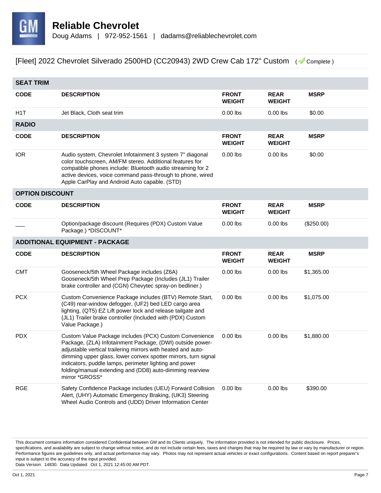

| <b>SEAT TRIM</b>       |                                                                                                                                                                                                                                                                                                                                                                                               |                               |                              |             |  |
|------------------------|-----------------------------------------------------------------------------------------------------------------------------------------------------------------------------------------------------------------------------------------------------------------------------------------------------------------------------------------------------------------------------------------------|-------------------------------|------------------------------|-------------|--|
| <b>CODE</b>            | <b>DESCRIPTION</b>                                                                                                                                                                                                                                                                                                                                                                            | <b>FRONT</b><br><b>WEIGHT</b> | <b>REAR</b><br><b>WEIGHT</b> | <b>MSRP</b> |  |
| H <sub>1</sub> T       | Jet Black, Cloth seat trim                                                                                                                                                                                                                                                                                                                                                                    | $0.00$ lbs                    | $0.00$ lbs                   | \$0.00      |  |
| <b>RADIO</b>           |                                                                                                                                                                                                                                                                                                                                                                                               |                               |                              |             |  |
| <b>CODE</b>            | <b>DESCRIPTION</b>                                                                                                                                                                                                                                                                                                                                                                            | <b>FRONT</b><br><b>WEIGHT</b> | <b>REAR</b><br><b>WEIGHT</b> | <b>MSRP</b> |  |
| <b>IOR</b>             | Audio system, Chevrolet Infotainment 3 system 7" diagonal<br>color touchscreen, AM/FM stereo. Additional features for<br>compatible phones include: Bluetooth audio streaming for 2<br>active devices, voice command pass-through to phone, wired<br>Apple CarPlay and Android Auto capable. (STD)                                                                                            | $0.00$ lbs                    | $0.00$ lbs                   | \$0.00      |  |
| <b>OPTION DISCOUNT</b> |                                                                                                                                                                                                                                                                                                                                                                                               |                               |                              |             |  |
| <b>CODE</b>            | <b>DESCRIPTION</b>                                                                                                                                                                                                                                                                                                                                                                            | <b>FRONT</b><br><b>WEIGHT</b> | <b>REAR</b><br><b>WEIGHT</b> | <b>MSRP</b> |  |
|                        | Option/package discount (Requires (PDX) Custom Value<br>Package.) *DISCOUNT*                                                                                                                                                                                                                                                                                                                  | $0.00$ lbs                    | $0.00$ lbs                   | (\$250.00)  |  |
|                        | <b>ADDITIONAL EQUIPMENT - PACKAGE</b>                                                                                                                                                                                                                                                                                                                                                         |                               |                              |             |  |
| <b>CODE</b>            | <b>DESCRIPTION</b>                                                                                                                                                                                                                                                                                                                                                                            | <b>FRONT</b><br><b>WEIGHT</b> | <b>REAR</b><br><b>WEIGHT</b> | <b>MSRP</b> |  |
| <b>CMT</b>             | Gooseneck/5th Wheel Package includes (Z6A)<br>Gooseneck/5th Wheel Prep Package (Includes (JL1) Trailer<br>brake controller and (CGN) Chevytec spray-on bedliner.)                                                                                                                                                                                                                             | $0.00$ lbs                    | $0.00$ lbs                   | \$1,365.00  |  |
| <b>PCX</b>             | Custom Convenience Package includes (BTV) Remote Start,<br>(C49) rear-window defogger, (UF2) bed LED cargo area<br>lighting, (QT5) EZ Lift power lock and release tailgate and<br>(JL1) Trailer brake controller (Included with (PDX) Custom<br>Value Package.)                                                                                                                               | $0.00$ lbs                    | $0.00$ lbs                   | \$1,075.00  |  |
| <b>PDX</b>             | Custom Value Package includes (PCX) Custom Convenience<br>Package, (ZLA) Infotainment Package, (DWI) outside power-<br>adjustable vertical trailering mirrors with heated and auto-<br>dimming upper glass, lower convex spotter mirrors, turn signal<br>indicators, puddle lamps, perimeter lighting and power<br>folding/manual extending and (DD8) auto-dimming rearview<br>mirror *GROSS* | $0.00$ lbs                    | $0.00$ lbs                   | \$1,880.00  |  |
| <b>RGE</b>             | Safety Confidence Package includes (UEU) Forward Collision<br>Alert, (UHY) Automatic Emergency Braking, (UK3) Steering<br>Wheel Audio Controls and (UDD) Driver Information Center                                                                                                                                                                                                            | $0.00$ lbs                    | $0.00$ lbs                   | \$390.00    |  |

This document contains information considered Confidential between GM and its Clients uniquely. The information provided is not intended for public disclosure. Prices, specifications, and availability are subject to change without notice, and do not include certain fees, taxes and charges that may be required by law or vary by manufacturer or region. Performance figures are guidelines only, and actual performance may vary. Photos may not represent actual vehicles or exact configurations. Content based on report preparer's input is subject to the accuracy of the input provided.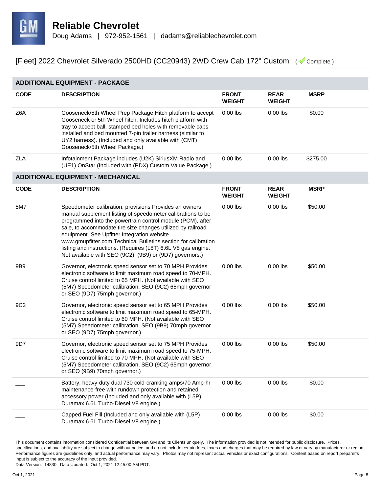

| <b>ADDITIONAL EQUIPMENT - PACKAGE</b> |                                                                                                                                                                                                                                                                                                                                                                                                                                                                                                  |                               |                              |             |  |
|---------------------------------------|--------------------------------------------------------------------------------------------------------------------------------------------------------------------------------------------------------------------------------------------------------------------------------------------------------------------------------------------------------------------------------------------------------------------------------------------------------------------------------------------------|-------------------------------|------------------------------|-------------|--|
| <b>CODE</b>                           | <b>DESCRIPTION</b>                                                                                                                                                                                                                                                                                                                                                                                                                                                                               | <b>FRONT</b><br><b>WEIGHT</b> | <b>REAR</b><br><b>WEIGHT</b> | <b>MSRP</b> |  |
| Z6A                                   | Gooseneck/5th Wheel Prep Package Hitch platform to accept<br>Gooseneck or 5th Wheel hitch. Includes hitch platform with<br>tray to accept ball, stamped bed holes with removable caps<br>installed and bed mounted 7-pin trailer harness (similar to<br>UY2 harness). (Included and only available with (CMT)<br>Gooseneck/5th Wheel Package.)                                                                                                                                                   | $0.00$ lbs                    | $0.00$ lbs                   | \$0.00      |  |
| ZLA                                   | Infotainment Package includes (U2K) SiriusXM Radio and<br>(UE1) OnStar (Included with (PDX) Custom Value Package.)                                                                                                                                                                                                                                                                                                                                                                               | $0.00$ lbs                    | $0.00$ lbs                   | \$275.00    |  |
|                                       | <b>ADDITIONAL EQUIPMENT - MECHANICAL</b>                                                                                                                                                                                                                                                                                                                                                                                                                                                         |                               |                              |             |  |
| <b>CODE</b>                           | <b>DESCRIPTION</b>                                                                                                                                                                                                                                                                                                                                                                                                                                                                               | <b>FRONT</b><br><b>WEIGHT</b> | <b>REAR</b><br><b>WEIGHT</b> | <b>MSRP</b> |  |
| 5M7                                   | Speedometer calibration, provisions Provides an owners<br>manual supplement listing of speedometer calibrations to be<br>programmed into the powertrain control module (PCM), after<br>sale, to accommodate tire size changes utilized by railroad<br>equipment. See Upfitter Integration website<br>www.gmupfitter.com Technical Bulletins section for calibration<br>listing and instructions. (Requires (L8T) 6.6L V8 gas engine.<br>Not available with SEO (9C2), (9B9) or (9D7) governors.) | $0.00$ lbs                    | $0.00$ lbs                   | \$50.00     |  |
| 9B9                                   | Governor, electronic speed sensor set to 70 MPH Provides<br>electronic software to limit maximum road speed to 70-MPH.<br>Cruise control limited to 65 MPH. (Not available with SEO<br>(5M7) Speedometer calibration, SEO (9C2) 65mph governor<br>or SEO (9D7) 75mph governor.)                                                                                                                                                                                                                  | $0.00$ lbs                    | $0.00$ lbs                   | \$50.00     |  |
| 9C <sub>2</sub>                       | Governor, electronic speed sensor set to 65 MPH Provides<br>electronic software to limit maximum road speed to 65-MPH.<br>Cruise control limited to 60 MPH. (Not available with SEO<br>(5M7) Speedometer calibration, SEO (9B9) 70mph governor<br>or SEO (9D7) 75mph governor.)                                                                                                                                                                                                                  | $0.00$ lbs                    | $0.00$ lbs                   | \$50.00     |  |
| 9D7                                   | Governor, electronic speed sensor set to 75 MPH Provides<br>electronic software to limit maximum road speed to 75-MPH.<br>Cruise control limited to 70 MPH. (Not available with SEO<br>(5M7) Speedometer calibration, SEO (9C2) 65mph governor<br>or SEO (9B9) 70mph governor.)                                                                                                                                                                                                                  | $0.00$ lbs                    | $0.00$ lbs                   | \$50.00     |  |
|                                       | Battery, heavy-duty dual 730 cold-cranking amps/70 Amp-hr<br>maintenance-free with rundown protection and retained<br>accessory power (Included and only available with (L5P)<br>Duramax 6.6L Turbo-Diesel V8 engine.)                                                                                                                                                                                                                                                                           | $0.00$ lbs                    | $0.00$ lbs                   | \$0.00      |  |
|                                       | Capped Fuel Fill (Included and only available with (L5P)<br>Duramax 6.6L Turbo-Diesel V8 engine.)                                                                                                                                                                                                                                                                                                                                                                                                | $0.00$ lbs                    | $0.00$ lbs                   | \$0.00      |  |

This document contains information considered Confidential between GM and its Clients uniquely. The information provided is not intended for public disclosure. Prices, specifications, and availability are subject to change without notice, and do not include certain fees, taxes and charges that may be required by law or vary by manufacturer or region. Performance figures are guidelines only, and actual performance may vary. Photos may not represent actual vehicles or exact configurations. Content based on report preparer's input is subject to the accuracy of the input provided.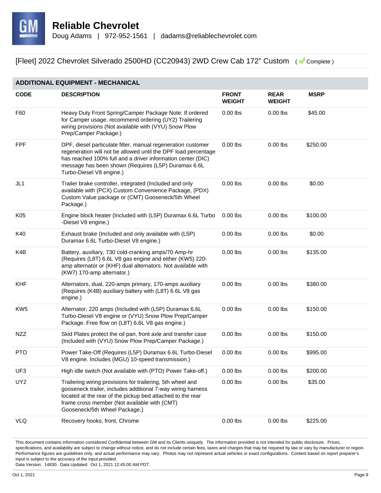

| <b>ADDITIONAL EQUIPMENT - MECHANICAL</b> |                                                                                                                                                                                                                                                                                  |                               |                              |             |  |
|------------------------------------------|----------------------------------------------------------------------------------------------------------------------------------------------------------------------------------------------------------------------------------------------------------------------------------|-------------------------------|------------------------------|-------------|--|
| <b>CODE</b>                              | <b>DESCRIPTION</b>                                                                                                                                                                                                                                                               | <b>FRONT</b><br><b>WEIGHT</b> | <b>REAR</b><br><b>WEIGHT</b> | <b>MSRP</b> |  |
| F60                                      | Heavy Duty Front Spring/Camper Package Note: If ordered<br>for Camper usage, recommend ordering (UY2) Trailering<br>wiring provisions (Not available with (VYU) Snow Plow<br>Prep/Camper Package.)                                                                               | $0.00$ lbs                    | $0.00$ lbs                   | \$45.00     |  |
| <b>FPF</b>                               | DPF, diesel particulate filter, manual regeneration customer<br>regeneration will not be allowed until the DPF load percentage<br>has reached 100% full and a driver information center (DIC)<br>message has been shown (Requires (L5P) Duramax 6.6L<br>Turbo-Diesel V8 engine.) | $0.00$ lbs                    | $0.00$ lbs                   | \$250.00    |  |
| JL1                                      | Trailer brake controller, integrated (Included and only<br>available with (PCX) Custom Convenience Package, (PDX)<br>Custom Value package or (CMT) Gooseneck/5th Wheel<br>Package.)                                                                                              | $0.00$ lbs                    | $0.00$ lbs                   | \$0.00      |  |
| K05                                      | Engine block heater (Included with (L5P) Duramax 6.6L Turbo<br>-Diesel V8 engine.)                                                                                                                                                                                               | $0.00$ lbs                    | $0.00$ lbs                   | \$100.00    |  |
| K40                                      | Exhaust brake (Included and only available with (L5P)<br>Duramax 6.6L Turbo-Diesel V8 engine.)                                                                                                                                                                                   | $0.00$ lbs                    | $0.00$ lbs                   | \$0.00      |  |
| K4B                                      | Battery, auxiliary, 730 cold-cranking amps/70 Amp-hr<br>(Requires (L8T) 6.6L V8 gas engine and either (KW5) 220-<br>amp alternator or (KHF) dual alternators. Not available with<br>(KW7) 170-amp alternator.)                                                                   | $0.00$ lbs                    | $0.00$ lbs                   | \$135.00    |  |
| <b>KHF</b>                               | Alternators, dual, 220-amps primary, 170-amps auxiliary<br>(Requires (K4B) auxiliary battery with (L8T) 6.6L V8 gas<br>engine.)                                                                                                                                                  | $0.00$ lbs                    | $0.00$ lbs                   | \$380.00    |  |
| KW <sub>5</sub>                          | Alternator, 220 amps (Included with (L5P) Duramax 6.6L<br>Turbo-Diesel V8 engine or (VYU) Snow Plow Prep/Camper<br>Package. Free flow on (L8T) 6.6L V8 gas engine.)                                                                                                              | $0.00$ lbs                    | $0.00$ lbs                   | \$150.00    |  |
| <b>NZZ</b>                               | Skid Plates protect the oil pan, front axle and transfer case<br>(Included with (VYU) Snow Plow Prep/Camper Package.)                                                                                                                                                            | $0.00$ lbs                    | $0.00$ lbs                   | \$150.00    |  |
| <b>PTO</b>                               | Power Take-Off (Requires (L5P) Duramax 6.6L Turbo-Diesel<br>V8 engine. Includes (MGU) 10-speed transmission.)                                                                                                                                                                    | $0.00$ lbs                    | $0.00$ lbs                   | \$995.00    |  |
| UF3                                      | High idle switch (Not available with (PTO) Power Take-off.)                                                                                                                                                                                                                      | $0.00$ lbs                    | $0.00$ lbs                   | \$200.00    |  |
| UY <sub>2</sub>                          | Trailering wiring provisions for trailering, 5th wheel and<br>gooseneck trailer, includes additional 7-way wiring harness<br>located at the rear of the pickup bed attached to the rear<br>frame cross member (Not available with (CMT)<br>Gooseneck/5th Wheel Package.)         | $0.00$ lbs                    | $0.00$ lbs                   | \$35.00     |  |
| <b>VLQ</b>                               | Recovery hooks, front, Chrome                                                                                                                                                                                                                                                    | $0.00$ lbs                    | $0.00$ lbs                   | \$225.00    |  |

This document contains information considered Confidential between GM and its Clients uniquely. The information provided is not intended for public disclosure. Prices, specifications, and availability are subject to change without notice, and do not include certain fees, taxes and charges that may be required by law or vary by manufacturer or region. Performance figures are guidelines only, and actual performance may vary. Photos may not represent actual vehicles or exact configurations. Content based on report preparer's input is subject to the accuracy of the input provided.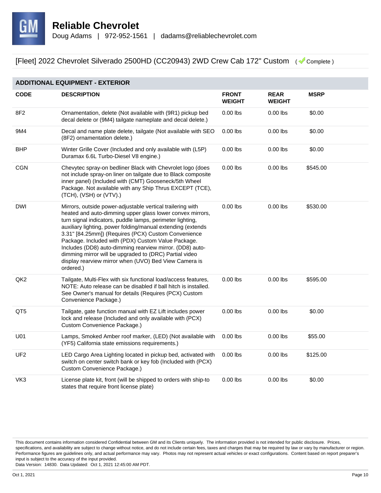

#### **ADDITIONAL EQUIPMENT - EXTERIOR**

| <b>CODE</b>     | <b>DESCRIPTION</b>                                                                                                                                                                                                                                                                                                                                                                                                                                                                                                                                           | <b>FRONT</b><br><b>WEIGHT</b> | <b>REAR</b><br><b>WEIGHT</b> | <b>MSRP</b> |
|-----------------|--------------------------------------------------------------------------------------------------------------------------------------------------------------------------------------------------------------------------------------------------------------------------------------------------------------------------------------------------------------------------------------------------------------------------------------------------------------------------------------------------------------------------------------------------------------|-------------------------------|------------------------------|-------------|
| 8F2             | Ornamentation, delete (Not available with (9R1) pickup bed<br>decal delete or (9M4) tailgate nameplate and decal delete.)                                                                                                                                                                                                                                                                                                                                                                                                                                    | $0.00$ lbs                    | $0.00$ lbs                   | \$0.00      |
| 9M4             | Decal and name plate delete, tailgate (Not available with SEO<br>(8F2) ornamentation delete.)                                                                                                                                                                                                                                                                                                                                                                                                                                                                | $0.00$ lbs                    | $0.00$ lbs                   | \$0.00      |
| <b>BHP</b>      | Winter Grille Cover (Included and only available with (L5P)<br>Duramax 6.6L Turbo-Diesel V8 engine.)                                                                                                                                                                                                                                                                                                                                                                                                                                                         | $0.00$ lbs                    | $0.00$ lbs                   | \$0.00      |
| <b>CGN</b>      | Chevytec spray-on bedliner Black with Chevrolet logo (does<br>not include spray-on liner on tailgate due to Black composite<br>inner panel) (Included with (CMT) Gooseneck/5th Wheel<br>Package. Not available with any Ship Thrus EXCEPT (TCE),<br>(TCH), (VSH) or (VTV).)                                                                                                                                                                                                                                                                                  | $0.00$ lbs                    | $0.00$ lbs                   | \$545.00    |
| <b>DWI</b>      | Mirrors, outside power-adjustable vertical trailering with<br>heated and auto-dimming upper glass lower convex mirrors,<br>turn signal indicators, puddle lamps, perimeter lighting,<br>auxiliary lighting, power folding/manual extending (extends<br>3.31" [84.25mm]) (Requires (PCX) Custom Convenience<br>Package. Included with (PDX) Custom Value Package.<br>Includes (DD8) auto-dimming rearview mirror. (DD8) auto-<br>dimming mirror will be upgraded to (DRC) Partial video<br>display rearview mirror when (UVO) Bed View Camera is<br>ordered.) | $0.00$ lbs                    | $0.00$ lbs                   | \$530.00    |
| QK <sub>2</sub> | Tailgate, Multi-Flex with six functional load/access features,<br>NOTE: Auto release can be disabled if ball hitch is installed.<br>See Owner's manual for details (Requires (PCX) Custom<br>Convenience Package.)                                                                                                                                                                                                                                                                                                                                           | $0.00$ lbs                    | $0.00$ lbs                   | \$595.00    |
| QT5             | Tailgate, gate function manual with EZ Lift includes power<br>lock and release (Included and only available with (PCX)<br>Custom Convenience Package.)                                                                                                                                                                                                                                                                                                                                                                                                       | $0.00$ lbs                    | $0.00$ lbs                   | \$0.00      |
| U01             | Lamps, Smoked Amber roof marker, (LED) (Not available with<br>(YF5) California state emissions requirements.)                                                                                                                                                                                                                                                                                                                                                                                                                                                | $0.00$ lbs                    | $0.00$ lbs                   | \$55.00     |
| UF <sub>2</sub> | LED Cargo Area Lighting located in pickup bed, activated with<br>switch on center switch bank or key fob (Included with (PCX)<br>Custom Convenience Package.)                                                                                                                                                                                                                                                                                                                                                                                                | $0.00$ lbs                    | $0.00$ lbs                   | \$125.00    |
| VK3             | License plate kit, front (will be shipped to orders with ship-to<br>states that require front license plate)                                                                                                                                                                                                                                                                                                                                                                                                                                                 | $0.00$ lbs                    | $0.00$ lbs                   | \$0.00      |

This document contains information considered Confidential between GM and its Clients uniquely. The information provided is not intended for public disclosure. Prices, specifications, and availability are subject to change without notice, and do not include certain fees, taxes and charges that may be required by law or vary by manufacturer or region. Performance figures are guidelines only, and actual performance may vary. Photos may not represent actual vehicles or exact configurations. Content based on report preparer's input is subject to the accuracy of the input provided.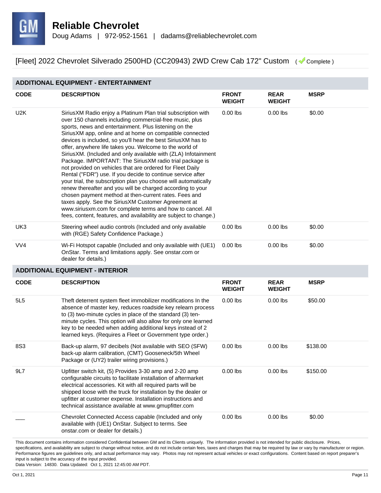

#### **ADDITIONAL EQUIPMENT - ENTERTAINMENT**

| <b>CODE</b>      | <b>DESCRIPTION</b>                                                                                                                                                                                                                                                                                                                                                                                                                                                                                                                                                                                                                                                                                                                                                                                                                                                                                                                                                                                                   | <b>FRONT</b><br><b>WEIGHT</b> | <b>REAR</b><br><b>WEIGHT</b> | <b>MSRP</b> |
|------------------|----------------------------------------------------------------------------------------------------------------------------------------------------------------------------------------------------------------------------------------------------------------------------------------------------------------------------------------------------------------------------------------------------------------------------------------------------------------------------------------------------------------------------------------------------------------------------------------------------------------------------------------------------------------------------------------------------------------------------------------------------------------------------------------------------------------------------------------------------------------------------------------------------------------------------------------------------------------------------------------------------------------------|-------------------------------|------------------------------|-------------|
| U <sub>2</sub> K | SiriusXM Radio enjoy a Platinum Plan trial subscription with<br>over 150 channels including commercial-free music, plus<br>sports, news and entertainment. Plus listening on the<br>SiriusXM app, online and at home on compatible connected<br>devices is included, so you'll hear the best SiriusXM has to<br>offer, anywhere life takes you. Welcome to the world of<br>SiriusXM. (Included and only available with (ZLA) Infotainment<br>Package. IMPORTANT: The SiriusXM radio trial package is<br>not provided on vehicles that are ordered for Fleet Daily<br>Rental ("FDR") use. If you decide to continue service after<br>your trial, the subscription plan you choose will automatically<br>renew thereafter and you will be charged according to your<br>chosen payment method at then-current rates. Fees and<br>taxes apply. See the SiriusXM Customer Agreement at<br>www.siriusxm.com for complete terms and how to cancel. All<br>fees, content, features, and availability are subject to change.) | $0.00$ lbs                    | $0.00$ lbs                   | \$0.00      |
| UK3              | Steering wheel audio controls (Included and only available<br>with (RGE) Safety Confidence Package.)                                                                                                                                                                                                                                                                                                                                                                                                                                                                                                                                                                                                                                                                                                                                                                                                                                                                                                                 | $0.00$ lbs                    | $0.00$ lbs                   | \$0.00      |
| VV4              | Wi-Fi Hotspot capable (Included and only available with (UE1)<br>OnStar. Terms and limitations apply. See onstar.com or<br>dealer for details.)                                                                                                                                                                                                                                                                                                                                                                                                                                                                                                                                                                                                                                                                                                                                                                                                                                                                      | $0.00$ lbs                    | $0.00$ lbs                   | \$0.00      |
|                  | <b>ADDITIONAL EQUIPMENT - INTERIOR</b>                                                                                                                                                                                                                                                                                                                                                                                                                                                                                                                                                                                                                                                                                                                                                                                                                                                                                                                                                                               |                               |                              |             |
| <b>CODE</b>      | <b>DESCRIPTION</b>                                                                                                                                                                                                                                                                                                                                                                                                                                                                                                                                                                                                                                                                                                                                                                                                                                                                                                                                                                                                   | <b>FRONT</b><br><b>WEIGHT</b> | <b>REAR</b><br><b>WEIGHT</b> | <b>MSRP</b> |
| 5L5              | Theft deterrent system fleet immobilizer modifications In the<br>absence of master key, reduces roadside key relearn process<br>to (3) two-minute cycles in place of the standard (3) ten-<br>minute cycles. This option will also allow for only one learned<br>key to be needed when adding additional keys instead of 2<br>learned keys. (Requires a Fleet or Government type order.)                                                                                                                                                                                                                                                                                                                                                                                                                                                                                                                                                                                                                             | $0.00$ lbs                    | $0.00$ lbs                   | \$50.00     |
| 8S3              | Back-up alarm, 97 decibels (Not available with SEO (SFW)<br>back-up alarm calibration, (CMT) Gooseneck/5th Wheel<br>Package or (UY2) trailer wiring provisions.)                                                                                                                                                                                                                                                                                                                                                                                                                                                                                                                                                                                                                                                                                                                                                                                                                                                     | $0.00$ lbs                    | $0.00$ lbs                   | \$138.00    |
| 9L7              | Upfitter switch kit, (5) Provides 3-30 amp and 2-20 amp<br>configurable circuits to facilitate installation of aftermarket<br>electrical accessories. Kit with all required parts will be<br>shipped loose with the truck for installation by the dealer or<br>upfitter at customer expense. Installation instructions and<br>technical assistance available at www.gmupfitter.com                                                                                                                                                                                                                                                                                                                                                                                                                                                                                                                                                                                                                                   | $0.00$ lbs                    | $0.00$ lbs                   | \$150.00    |
|                  | Chevrolet Connected Access capable (Included and only<br>available with (UE1) OnStar. Subject to terms. See<br>onstar.com or dealer for details.)                                                                                                                                                                                                                                                                                                                                                                                                                                                                                                                                                                                                                                                                                                                                                                                                                                                                    | $0.00$ lbs                    | $0.00$ lbs                   | \$0.00      |

This document contains information considered Confidential between GM and its Clients uniquely. The information provided is not intended for public disclosure. Prices, specifications, and availability are subject to change without notice, and do not include certain fees, taxes and charges that may be required by law or vary by manufacturer or region. Performance figures are guidelines only, and actual performance may vary. Photos may not represent actual vehicles or exact configurations. Content based on report preparer's input is subject to the accuracy of the input provided.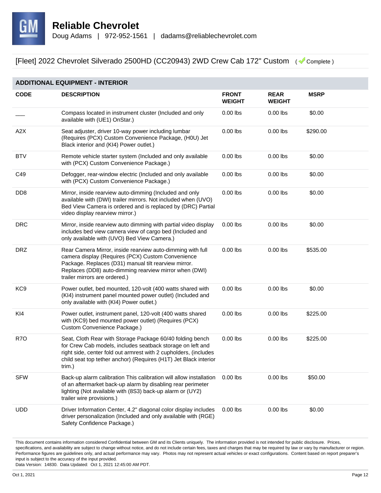

| <b>ADDITIONAL EQUIPMENT - INTERIOR</b> |                                                                                                                                                                                                                                                                           |                               |                              |             |  |
|----------------------------------------|---------------------------------------------------------------------------------------------------------------------------------------------------------------------------------------------------------------------------------------------------------------------------|-------------------------------|------------------------------|-------------|--|
| <b>CODE</b>                            | <b>DESCRIPTION</b>                                                                                                                                                                                                                                                        | <b>FRONT</b><br><b>WEIGHT</b> | <b>REAR</b><br><b>WEIGHT</b> | <b>MSRP</b> |  |
|                                        | Compass located in instrument cluster (Included and only<br>available with (UE1) OnStar.)                                                                                                                                                                                 | $0.00$ lbs                    | $0.00$ lbs                   | \$0.00      |  |
| A2X                                    | Seat adjuster, driver 10-way power including lumbar<br>(Requires (PCX) Custom Convenience Package, (H0U) Jet<br>Black interior and (KI4) Power outlet.)                                                                                                                   | $0.00$ lbs                    | $0.00$ lbs                   | \$290.00    |  |
| <b>BTV</b>                             | Remote vehicle starter system (Included and only available<br>with (PCX) Custom Convenience Package.)                                                                                                                                                                     | $0.00$ lbs                    | $0.00$ lbs                   | \$0.00      |  |
| C49                                    | Defogger, rear-window electric (Included and only available<br>with (PCX) Custom Convenience Package.)                                                                                                                                                                    | $0.00$ lbs                    | $0.00$ lbs                   | \$0.00      |  |
| D <sub>D</sub> <sub>8</sub>            | Mirror, inside rearview auto-dimming (Included and only<br>available with (DWI) trailer mirrors. Not included when (UVO)<br>Bed View Camera is ordered and is replaced by (DRC) Partial<br>video display rearview mirror.)                                                | $0.00$ lbs                    | $0.00$ lbs                   | \$0.00      |  |
| <b>DRC</b>                             | Mirror, inside rearview auto dimming with partial video display<br>includes bed view camera view of cargo bed (Included and<br>only available with (UVO) Bed View Camera.)                                                                                                | $0.00$ lbs                    | $0.00$ lbs                   | \$0.00      |  |
| <b>DRZ</b>                             | Rear Camera Mirror, inside rearview auto-dimming with full<br>camera display (Requires (PCX) Custom Convenience<br>Package. Replaces (D31) manual tilt rearview mirror.<br>Replaces (DD8) auto-dimming rearview mirror when (DWI)<br>trailer mirrors are ordered.)        | $0.00$ lbs                    | $0.00$ lbs                   | \$535.00    |  |
| KC <sub>9</sub>                        | Power outlet, bed mounted, 120-volt (400 watts shared with<br>(KI4) instrument panel mounted power outlet) (Included and<br>only available with (KI4) Power outlet.)                                                                                                      | $0.00$ lbs                    | $0.00$ lbs                   | \$0.00      |  |
| KI4                                    | Power outlet, instrument panel, 120-volt (400 watts shared<br>with (KC9) bed mounted power outlet) (Requires (PCX)<br>Custom Convenience Package.)                                                                                                                        | $0.00$ lbs                    | $0.00$ lbs                   | \$225.00    |  |
| R <sub>7</sub> O                       | Seat, Cloth Rear with Storage Package 60/40 folding bench<br>for Crew Cab models, includes seatback storage on left and<br>right side, center fold out armrest with 2 cupholders, (includes<br>child seat top tether anchor) (Requires (H1T) Jet Black interior<br>trim.) | $0.00$ lbs                    | $0.00$ lbs                   | \$225.00    |  |
| <b>SFW</b>                             | Back-up alarm calibration This calibration will allow installation<br>of an aftermarket back-up alarm by disabling rear perimeter<br>lighting (Not available with (8S3) back-up alarm or (UY2)<br>trailer wire provisions.)                                               | $0.00$ lbs                    | $0.00$ lbs                   | \$50.00     |  |
| <b>UDD</b>                             | Driver Information Center, 4.2" diagonal color display includes<br>driver personalization (Included and only available with (RGE)<br>Safety Confidence Package.)                                                                                                          | $0.00$ lbs                    | $0.00$ lbs                   | \$0.00      |  |

This document contains information considered Confidential between GM and its Clients uniquely. The information provided is not intended for public disclosure. Prices, specifications, and availability are subject to change without notice, and do not include certain fees, taxes and charges that may be required by law or vary by manufacturer or region. Performance figures are guidelines only, and actual performance may vary. Photos may not represent actual vehicles or exact configurations. Content based on report preparer's input is subject to the accuracy of the input provided.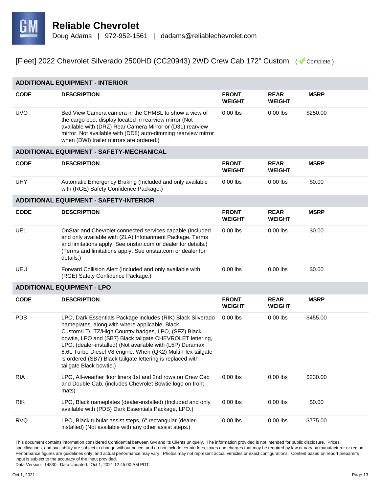

| <b>ADDITIONAL EQUIPMENT - INTERIOR</b> |                                                                                                                                                                                                                                                                                                                                                                                                                                                        |                               |                              |             |  |  |
|----------------------------------------|--------------------------------------------------------------------------------------------------------------------------------------------------------------------------------------------------------------------------------------------------------------------------------------------------------------------------------------------------------------------------------------------------------------------------------------------------------|-------------------------------|------------------------------|-------------|--|--|
| <b>CODE</b>                            | <b>DESCRIPTION</b>                                                                                                                                                                                                                                                                                                                                                                                                                                     | <b>FRONT</b><br><b>WEIGHT</b> | <b>REAR</b><br><b>WEIGHT</b> | <b>MSRP</b> |  |  |
| <b>UVO</b>                             | Bed View Camera camera in the CHMSL to show a view of<br>the cargo bed, display located in rearview mirror (Not<br>available with (DRZ) Rear Camera Mirror or (D31) rearview<br>mirror. Not available with (DD8) auto-dimming rearview mirror<br>when (DWI) trailer mirrors are ordered.)                                                                                                                                                              | $0.00$ lbs                    | $0.00$ lbs                   | \$250.00    |  |  |
|                                        | <b>ADDITIONAL EQUIPMENT - SAFETY-MECHANICAL</b>                                                                                                                                                                                                                                                                                                                                                                                                        |                               |                              |             |  |  |
| <b>CODE</b>                            | <b>DESCRIPTION</b>                                                                                                                                                                                                                                                                                                                                                                                                                                     | <b>FRONT</b><br><b>WEIGHT</b> | <b>REAR</b><br><b>WEIGHT</b> | <b>MSRP</b> |  |  |
| <b>UHY</b>                             | Automatic Emergency Braking (Included and only available<br>with (RGE) Safety Confidence Package.)                                                                                                                                                                                                                                                                                                                                                     | $0.00$ lbs                    | $0.00$ lbs                   | \$0.00      |  |  |
|                                        | <b>ADDITIONAL EQUIPMENT - SAFETY-INTERIOR</b>                                                                                                                                                                                                                                                                                                                                                                                                          |                               |                              |             |  |  |
| <b>CODE</b>                            | <b>DESCRIPTION</b>                                                                                                                                                                                                                                                                                                                                                                                                                                     | <b>FRONT</b><br><b>WEIGHT</b> | <b>REAR</b><br><b>WEIGHT</b> | <b>MSRP</b> |  |  |
| UE1                                    | OnStar and Chevrolet connected services capable (Included<br>and only available with (ZLA) Infotainment Package. Terms<br>and limitations apply. See onstar.com or dealer for details.)<br>(Terms and limitations apply. See onstar.com or dealer for<br>details.)                                                                                                                                                                                     | $0.00$ lbs                    | $0.00$ lbs                   | \$0.00      |  |  |
| UEU                                    | Forward Collision Alert (Included and only available with<br>(RGE) Safety Confidence Package.)                                                                                                                                                                                                                                                                                                                                                         | $0.00$ lbs                    | $0.00$ lbs                   | \$0.00      |  |  |
|                                        | <b>ADDITIONAL EQUIPMENT - LPO</b>                                                                                                                                                                                                                                                                                                                                                                                                                      |                               |                              |             |  |  |
| <b>CODE</b>                            | <b>DESCRIPTION</b>                                                                                                                                                                                                                                                                                                                                                                                                                                     | <b>FRONT</b><br><b>WEIGHT</b> | <b>REAR</b><br><b>WEIGHT</b> | <b>MSRP</b> |  |  |
| <b>PDB</b>                             | LPO, Dark Essentials Package includes (RIK) Black Silverado<br>nameplates, along with where applicable, Black<br>Custom/LT/LTZ/High Country badges, LPO, (SFZ) Black<br>bowtie, LPO and (SB7) Black tailgate CHEVROLET lettering,<br>LPO, (dealer-installed) (Not available with (L5P) Duramax<br>6.6L Turbo-Diesel V8 engine. When (QK2) Multi-Flex tailgate<br>is ordered (SB7) Black tailgate lettering is replaced with<br>tailgate Black bowtie.) | $0.00$ lbs                    | $0.00$ lbs                   | \$455.00    |  |  |
| <b>RIA</b>                             | LPO, All-weather floor liners 1st and 2nd rows on Crew Cab<br>and Double Cab, (includes Chevrolet Bowtie logo on front<br>mats)                                                                                                                                                                                                                                                                                                                        | $0.00$ lbs                    | $0.00$ lbs                   | \$230.00    |  |  |
| <b>RIK</b>                             | LPO, Black nameplates (dealer-installed) (Included and only<br>available with (PDB) Dark Essentials Package, LPO.)                                                                                                                                                                                                                                                                                                                                     | $0.00$ lbs                    | $0.00$ lbs                   | \$0.00      |  |  |
| <b>RVQ</b>                             | LPO, Black tubular assist steps, 6" rectangular (dealer-<br>installed) (Not available with any other assist steps.)                                                                                                                                                                                                                                                                                                                                    | $0.00$ lbs                    | $0.00$ lbs                   | \$775.00    |  |  |
|                                        |                                                                                                                                                                                                                                                                                                                                                                                                                                                        |                               |                              |             |  |  |

This document contains information considered Confidential between GM and its Clients uniquely. The information provided is not intended for public disclosure. Prices, specifications, and availability are subject to change without notice, and do not include certain fees, taxes and charges that may be required by law or vary by manufacturer or region. Performance figures are guidelines only, and actual performance may vary. Photos may not represent actual vehicles or exact configurations. Content based on report preparer's input is subject to the accuracy of the input provided.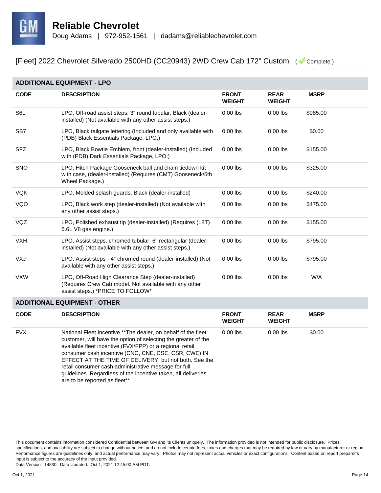

| <b>ADDITIONAL EQUIPMENT - LPO</b> |                                                                                                                                                    |                               |                              |             |  |
|-----------------------------------|----------------------------------------------------------------------------------------------------------------------------------------------------|-------------------------------|------------------------------|-------------|--|
| <b>CODE</b>                       | <b>DESCRIPTION</b>                                                                                                                                 | <b>FRONT</b><br><b>WEIGHT</b> | <b>REAR</b><br><b>WEIGHT</b> | <b>MSRP</b> |  |
| S <sub>6</sub> L                  | LPO, Off-road assist steps, 3" round tubular, Black (dealer-<br>installed) (Not available with any other assist steps.)                            | $0.00$ lbs                    | $0.00$ lbs                   | \$985.00    |  |
| SB <sub>7</sub>                   | LPO, Black tailgate lettering (Included and only available with<br>(PDB) Black Essentials Package, LPO.)                                           | $0.00$ lbs                    | $0.00$ lbs                   | \$0.00      |  |
| <b>SFZ</b>                        | LPO, Black Bowtie Emblem, front (dealer-installed) (Included<br>with (PDB) Dark Essentials Package, LPO.)                                          | $0.00$ lbs                    | $0.00$ lbs                   | \$155.00    |  |
| <b>SNO</b>                        | LPO, Hitch Package Gooseneck ball and chain tiedown kit<br>with case, (dealer-installed) (Requires (CMT) Gooseneck/5th<br>Wheel Package.)          | $0.00$ lbs                    | $0.00$ lbs                   | \$325.00    |  |
| <b>VQK</b>                        | LPO, Molded splash guards, Black (dealer-installed)                                                                                                | $0.00$ lbs                    | $0.00$ lbs                   | \$240.00    |  |
| VQO                               | LPO, Black work step (dealer-installed) (Not available with<br>any other assist steps.)                                                            | $0.00$ lbs                    | $0.00$ lbs                   | \$475.00    |  |
| VQZ                               | LPO, Polished exhaust tip (dealer-installed) (Requires (L8T)<br>6.6L V8 gas engine.)                                                               | $0.00$ lbs                    | $0.00$ lbs                   | \$155.00    |  |
| <b>VXH</b>                        | LPO, Assist steps, chromed tubular, 6" rectangular (dealer-<br>installed) (Not available with any other assist steps.)                             | $0.00$ lbs                    | $0.00$ lbs                   | \$795.00    |  |
| VXJ                               | LPO, Assist steps - 4" chromed round (dealer-installed) (Not<br>available with any other assist steps.)                                            | $0.00$ lbs                    | $0.00$ lbs                   | \$795.00    |  |
| <b>VXW</b>                        | LPO, Off-Road High Clearance Step (dealer-installed)<br>(Requires Crew Cab model. Not available with any other<br>assist steps.) *PRICE TO FOLLOW* | $0.00$ lbs                    | $0.00$ lbs                   | W/A         |  |

#### **ADDITIONAL EQUIPMENT - OTHER**

| <b>CODE</b> | <b>DESCRIPTION</b>                                                                                                                                                                                                                                                                                                                                                                                                                                                     | <b>FRONT</b><br><b>WEIGHT</b> | <b>REAR</b><br><b>WEIGHT</b> | <b>MSRP</b> |
|-------------|------------------------------------------------------------------------------------------------------------------------------------------------------------------------------------------------------------------------------------------------------------------------------------------------------------------------------------------------------------------------------------------------------------------------------------------------------------------------|-------------------------------|------------------------------|-------------|
| <b>FVX</b>  | National Fleet Incentive **The dealer, on behalf of the fleet<br>customer, will have the option of selecting the greater of the<br>available fleet incentive (FVX/FPP) or a regional retail<br>consumer cash incentive (CNC, CNE, CSE, CSR, CWE) IN<br>EFFECT AT THE TIME OF DELIVERY, but not both. See the<br>retail consumer cash administrative message for full<br>guidelines. Regardless of the incentive taken, all deliveries<br>are to be reported as fleet** | $0.00$ lbs                    | $0.00$ lbs                   | \$0.00      |

This document contains information considered Confidential between GM and its Clients uniquely. The information provided is not intended for public disclosure. Prices, specifications, and availability are subject to change without notice, and do not include certain fees, taxes and charges that may be required by law or vary by manufacturer or region. Performance figures are guidelines only, and actual performance may vary. Photos may not represent actual vehicles or exact configurations. Content based on report preparer's input is subject to the accuracy of the input provided.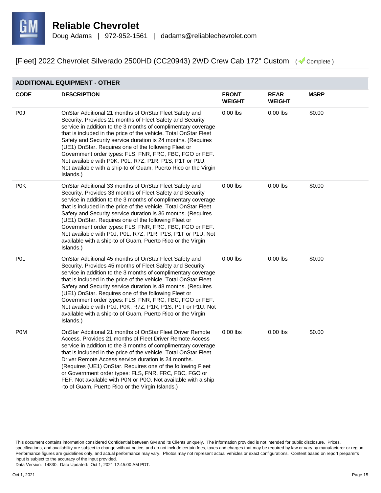

#### **ADDITIONAL EQUIPMENT - OTHER**

| <b>CODE</b>      | <b>DESCRIPTION</b>                                                                                                                                                                                                                                                                                                                                                                                                                                                                                                                                                                     | <b>FRONT</b><br><b>WEIGHT</b> | <b>REAR</b><br><b>WEIGHT</b> | <b>MSRP</b> |
|------------------|----------------------------------------------------------------------------------------------------------------------------------------------------------------------------------------------------------------------------------------------------------------------------------------------------------------------------------------------------------------------------------------------------------------------------------------------------------------------------------------------------------------------------------------------------------------------------------------|-------------------------------|------------------------------|-------------|
| P <sub>0</sub>   | OnStar Additional 21 months of OnStar Fleet Safety and<br>Security. Provides 21 months of Fleet Safety and Security<br>service in addition to the 3 months of complimentary coverage<br>that is included in the price of the vehicle. Total OnStar Fleet<br>Safety and Security service duration is 24 months. (Requires<br>(UE1) OnStar. Requires one of the following Fleet or<br>Government order types: FLS, FNR, FRC, FBC, FGO or FEF.<br>Not available with P0K, P0L, R7Z, P1R, P1S, P1T or P1U.<br>Not available with a ship-to of Guam, Puerto Rico or the Virgin<br>Islands.) | $0.00$ lbs                    | $0.00$ lbs                   | \$0.00      |
| P <sub>0</sub> K | OnStar Additional 33 months of OnStar Fleet Safety and<br>Security. Provides 33 months of Fleet Safety and Security<br>service in addition to the 3 months of complimentary coverage<br>that is included in the price of the vehicle. Total OnStar Fleet<br>Safety and Security service duration is 36 months. (Requires<br>(UE1) OnStar. Requires one of the following Fleet or<br>Government order types: FLS, FNR, FRC, FBC, FGO or FEF.<br>Not available with P0J, P0L, R7Z, P1R, P1S, P1T or P1U. Not<br>available with a ship-to of Guam, Puerto Rico or the Virgin<br>Islands.) | $0.00$ lbs                    | $0.00$ lbs                   | \$0.00      |
| P <sub>0</sub> L | OnStar Additional 45 months of OnStar Fleet Safety and<br>Security. Provides 45 months of Fleet Safety and Security<br>service in addition to the 3 months of complimentary coverage<br>that is included in the price of the vehicle. Total OnStar Fleet<br>Safety and Security service duration is 48 months. (Requires<br>(UE1) OnStar. Requires one of the following Fleet or<br>Government order types: FLS, FNR, FRC, FBC, FGO or FEF.<br>Not available with P0J, P0K, R7Z, P1R, P1S, P1T or P1U. Not<br>available with a ship-to of Guam, Puerto Rico or the Virgin<br>Islands.) | $0.00$ lbs                    | $0.00$ lbs                   | \$0.00      |
| <b>POM</b>       | OnStar Additional 21 months of OnStar Fleet Driver Remote<br>Access. Provides 21 months of Fleet Driver Remote Access<br>service in addition to the 3 months of complimentary coverage<br>that is included in the price of the vehicle. Total OnStar Fleet<br>Driver Remote Access service duration is 24 months.<br>(Requires (UE1) OnStar. Requires one of the following Fleet<br>or Government order types: FLS, FNR, FRC, FBC, FGO or<br>FEF. Not available with P0N or P0O. Not available with a ship<br>-to of Guam, Puerto Rico or the Virgin Islands.)                         | $0.00$ lbs                    | $0.00$ lbs                   | \$0.00      |

This document contains information considered Confidential between GM and its Clients uniquely. The information provided is not intended for public disclosure. Prices, specifications, and availability are subject to change without notice, and do not include certain fees, taxes and charges that may be required by law or vary by manufacturer or region. Performance figures are guidelines only, and actual performance may vary. Photos may not represent actual vehicles or exact configurations. Content based on report preparer's input is subject to the accuracy of the input provided.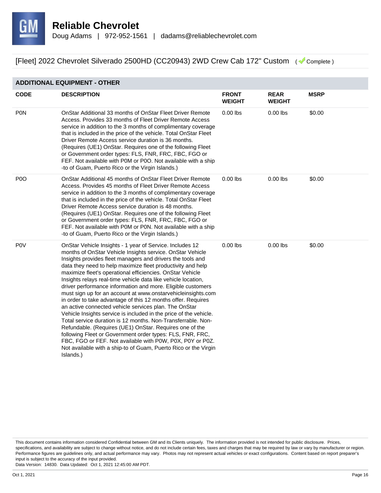

#### **ADDITIONAL EQUIPMENT - OTHER**

| <b>CODE</b>      | <b>DESCRIPTION</b>                                                                                                                                                                                                                                                                                                                                                                                                                                                                                                                                                                                                                                                                                                                                                                                                                                                                                                                                                                                                                                 | <b>FRONT</b><br><b>WEIGHT</b> | <b>REAR</b><br><b>WEIGHT</b> | <b>MSRP</b> |
|------------------|----------------------------------------------------------------------------------------------------------------------------------------------------------------------------------------------------------------------------------------------------------------------------------------------------------------------------------------------------------------------------------------------------------------------------------------------------------------------------------------------------------------------------------------------------------------------------------------------------------------------------------------------------------------------------------------------------------------------------------------------------------------------------------------------------------------------------------------------------------------------------------------------------------------------------------------------------------------------------------------------------------------------------------------------------|-------------------------------|------------------------------|-------------|
| <b>PON</b>       | OnStar Additional 33 months of OnStar Fleet Driver Remote<br>Access, Provides 33 months of Fleet Driver Remote Access<br>service in addition to the 3 months of complimentary coverage<br>that is included in the price of the vehicle. Total OnStar Fleet<br>Driver Remote Access service duration is 36 months.<br>(Requires (UE1) OnStar. Requires one of the following Fleet<br>or Government order types: FLS, FNR, FRC, FBC, FGO or<br>FEF. Not available with P0M or P0O. Not available with a ship<br>-to of Guam, Puerto Rico or the Virgin Islands.)                                                                                                                                                                                                                                                                                                                                                                                                                                                                                     | $0.00$ lbs                    | $0.00$ lbs                   | \$0.00      |
| P <sub>0</sub>   | OnStar Additional 45 months of OnStar Fleet Driver Remote<br>Access, Provides 45 months of Fleet Driver Remote Access<br>service in addition to the 3 months of complimentary coverage<br>that is included in the price of the vehicle. Total OnStar Fleet<br>Driver Remote Access service duration is 48 months.<br>(Requires (UE1) OnStar. Requires one of the following Fleet<br>or Government order types: FLS, FNR, FRC, FBC, FGO or<br>FEF. Not available with P0M or P0N. Not available with a ship<br>-to of Guam, Puerto Rico or the Virgin Islands.)                                                                                                                                                                                                                                                                                                                                                                                                                                                                                     | $0.00$ lbs                    | $0.00$ lbs                   | \$0.00      |
| P <sub>0</sub> V | OnStar Vehicle Insights - 1 year of Service. Includes 12<br>months of OnStar Vehicle Insights service. OnStar Vehicle<br>Insights provides fleet managers and drivers the tools and<br>data they need to help maximize fleet productivity and help<br>maximize fleet's operational efficiencies. OnStar Vehicle<br>Insights relays real-time vehicle data like vehicle location,<br>driver performance information and more. Eligible customers<br>must sign up for an account at www.onstarvehicleinsights.com<br>in order to take advantage of this 12 months offer. Requires<br>an active connected vehicle services plan. The OnStar<br>Vehicle Insights service is included in the price of the vehicle.<br>Total service duration is 12 months. Non-Transferrable. Non-<br>Refundable. (Requires (UE1) OnStar. Requires one of the<br>following Fleet or Government order types: FLS, FNR, FRC,<br>FBC, FGO or FEF. Not available with P0W, P0X, P0Y or P0Z.<br>Not available with a ship-to of Guam, Puerto Rico or the Virgin<br>Islands.) | $0.00$ lbs                    | $0.00$ lbs                   | \$0.00      |

This document contains information considered Confidential between GM and its Clients uniquely. The information provided is not intended for public disclosure. Prices, specifications, and availability are subject to change without notice, and do not include certain fees, taxes and charges that may be required by law or vary by manufacturer or region. Performance figures are guidelines only, and actual performance may vary. Photos may not represent actual vehicles or exact configurations. Content based on report preparer's input is subject to the accuracy of the input provided.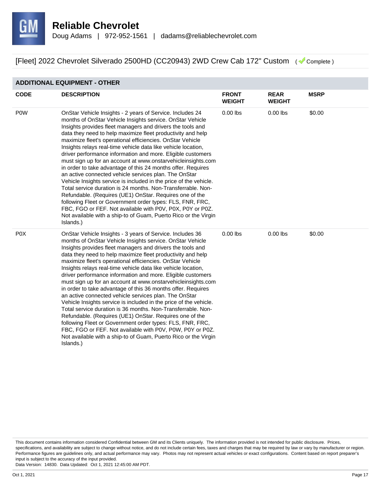

#### **ADDITIONAL EQUIPMENT - OTHER**

| <b>CODE</b>      | <b>DESCRIPTION</b>                                                                                                                                                                                                                                                                                                                                                                                                                                                                                                                                                                                                                                                                                                                                                                                                                                                                                                                                                                                                                                  | <b>FRONT</b><br><b>WEIGHT</b> | <b>REAR</b><br><b>WEIGHT</b> | <b>MSRP</b> |
|------------------|-----------------------------------------------------------------------------------------------------------------------------------------------------------------------------------------------------------------------------------------------------------------------------------------------------------------------------------------------------------------------------------------------------------------------------------------------------------------------------------------------------------------------------------------------------------------------------------------------------------------------------------------------------------------------------------------------------------------------------------------------------------------------------------------------------------------------------------------------------------------------------------------------------------------------------------------------------------------------------------------------------------------------------------------------------|-------------------------------|------------------------------|-------------|
| <b>POW</b>       | OnStar Vehicle Insights - 2 years of Service. Includes 24<br>months of OnStar Vehicle Insights service. OnStar Vehicle<br>Insights provides fleet managers and drivers the tools and<br>data they need to help maximize fleet productivity and help<br>maximize fleet's operational efficiencies. OnStar Vehicle<br>Insights relays real-time vehicle data like vehicle location,<br>driver performance information and more. Eligible customers<br>must sign up for an account at www.onstarvehicleinsights.com<br>in order to take advantage of this 24 months offer. Requires<br>an active connected vehicle services plan. The OnStar<br>Vehicle Insights service is included in the price of the vehicle.<br>Total service duration is 24 months. Non-Transferrable. Non-<br>Refundable. (Requires (UE1) OnStar. Requires one of the<br>following Fleet or Government order types: FLS, FNR, FRC,<br>FBC, FGO or FEF. Not available with P0V, P0X, P0Y or P0Z.<br>Not available with a ship-to of Guam, Puerto Rico or the Virgin<br>Islands.) | $0.00$ lbs                    | $0.00$ lbs                   | \$0.00      |
| P <sub>0</sub> X | OnStar Vehicle Insights - 3 years of Service. Includes 36<br>months of OnStar Vehicle Insights service. OnStar Vehicle<br>Insights provides fleet managers and drivers the tools and<br>data they need to help maximize fleet productivity and help<br>maximize fleet's operational efficiencies. OnStar Vehicle<br>Insights relays real-time vehicle data like vehicle location,<br>driver performance information and more. Eligible customers<br>must sign up for an account at www.onstarvehicleinsights.com<br>in order to take advantage of this 36 months offer. Requires<br>an active connected vehicle services plan. The OnStar<br>Vehicle Insights service is included in the price of the vehicle.<br>Total service duration is 36 months. Non-Transferrable. Non-<br>Refundable. (Requires (UE1) OnStar. Requires one of the<br>following Fleet or Government order types: FLS, FNR, FRC,<br>FBC, FGO or FEF. Not available with P0V, P0W, P0Y or P0Z.<br>Not available with a ship-to of Guam, Puerto Rico or the Virgin<br>Islands.) | $0.00$ lbs                    | $0.00$ lbs                   | \$0.00      |

This document contains information considered Confidential between GM and its Clients uniquely. The information provided is not intended for public disclosure. Prices, specifications, and availability are subject to change without notice, and do not include certain fees, taxes and charges that may be required by law or vary by manufacturer or region. Performance figures are guidelines only, and actual performance may vary. Photos may not represent actual vehicles or exact configurations. Content based on report preparer's input is subject to the accuracy of the input provided.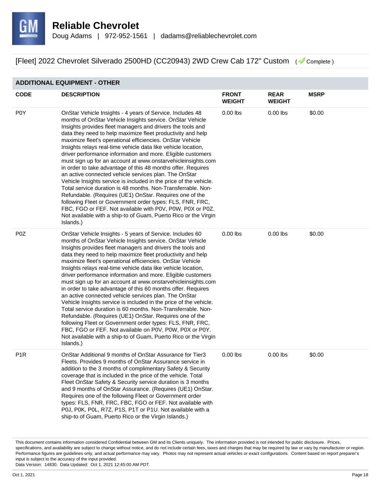

#### **ADDITIONAL EQUIPMENT - OTHER**

| <b>CODE</b>      | <b>DESCRIPTION</b>                                                                                                                                                                                                                                                                                                                                                                                                                                                                                                                                                                                                                                                                                                                                                                                                                                                                                                                                                                                                                                  | <b>FRONT</b><br><b>WEIGHT</b> | <b>REAR</b><br><b>WEIGHT</b> | <b>MSRP</b> |
|------------------|-----------------------------------------------------------------------------------------------------------------------------------------------------------------------------------------------------------------------------------------------------------------------------------------------------------------------------------------------------------------------------------------------------------------------------------------------------------------------------------------------------------------------------------------------------------------------------------------------------------------------------------------------------------------------------------------------------------------------------------------------------------------------------------------------------------------------------------------------------------------------------------------------------------------------------------------------------------------------------------------------------------------------------------------------------|-------------------------------|------------------------------|-------------|
| P0Y              | OnStar Vehicle Insights - 4 years of Service. Includes 48<br>months of OnStar Vehicle Insights service. OnStar Vehicle<br>Insights provides fleet managers and drivers the tools and<br>data they need to help maximize fleet productivity and help<br>maximize fleet's operational efficiencies. OnStar Vehicle<br>Insights relays real-time vehicle data like vehicle location,<br>driver performance information and more. Eligible customers<br>must sign up for an account at www.onstarvehicleinsights.com<br>in order to take advantage of this 48 months offer. Requires<br>an active connected vehicle services plan. The OnStar<br>Vehicle Insights service is included in the price of the vehicle.<br>Total service duration is 48 months. Non-Transferrable. Non-<br>Refundable. (Requires (UE1) OnStar. Requires one of the<br>following Fleet or Government order types: FLS, FNR, FRC,<br>FBC, FGO or FEF. Not available with P0V, P0W, P0X or P0Z.<br>Not available with a ship-to of Guam, Puerto Rico or the Virgin<br>Islands.) | $0.00$ lbs                    | $0.00$ lbs                   | \$0.00      |
| P <sub>0</sub> Z | OnStar Vehicle Insights - 5 years of Service. Includes 60<br>months of OnStar Vehicle Insights service. OnStar Vehicle<br>Insights provides fleet managers and drivers the tools and<br>data they need to help maximize fleet productivity and help<br>maximize fleet's operational efficiencies. OnStar Vehicle<br>Insights relays real-time vehicle data like vehicle location,<br>driver performance information and more. Eligible customers<br>must sign up for an account at www.onstarvehicleinsights.com<br>in order to take advantage of this 60 months offer. Requires<br>an active connected vehicle services plan. The OnStar<br>Vehicle Insights service is included in the price of the vehicle.<br>Total service duration is 60 months. Non-Transferrable. Non-<br>Refundable. (Requires (UE1) OnStar. Requires one of the<br>following Fleet or Government order types: FLS, FNR, FRC,<br>FBC, FGO or FEF. Not available on P0V, P0W, P0X or P0Y.<br>Not available with a ship-to of Guam, Puerto Rico or the Virgin<br>Islands.)   | $0.00$ lbs                    | $0.00$ lbs                   | \$0.00      |
| P <sub>1</sub> R | OnStar Additional 9 months of OnStar Assurance for Tier3<br>Fleets. Provides 9 months of OnStar Assurance service in<br>addition to the 3 months of complimentary Safety & Security<br>coverage that is included in the price of the vehicle. Total<br>Fleet OnStar Safety & Security service duration is 3 months<br>and 9 months of OnStar Assurance. (Requires (UE1) OnStar.<br>Requires one of the following Fleet or Government order<br>types: FLS, FNR, FRC, FBC, FGO or FEF. Not available with<br>P0J, P0K, P0L, R7Z, P1S, P1T or P1U. Not available with a<br>ship-to of Guam, Puerto Rico or the Virgin Islands.)                                                                                                                                                                                                                                                                                                                                                                                                                        | $0.00$ lbs                    | $0.00$ lbs                   | \$0.00      |

This document contains information considered Confidential between GM and its Clients uniquely. The information provided is not intended for public disclosure. Prices, specifications, and availability are subject to change without notice, and do not include certain fees, taxes and charges that may be required by law or vary by manufacturer or region. Performance figures are guidelines only, and actual performance may vary. Photos may not represent actual vehicles or exact configurations. Content based on report preparer's input is subject to the accuracy of the input provided.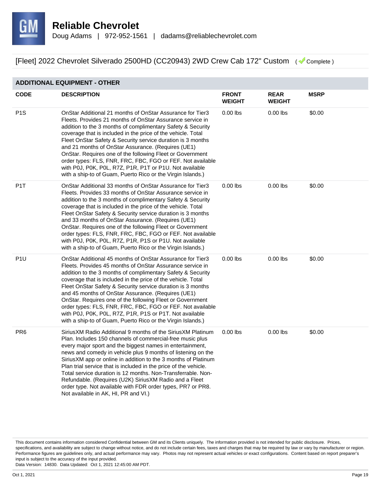

#### **ADDITIONAL EQUIPMENT - OTHER**

| <b>CODE</b>      | <b>DESCRIPTION</b>                                                                                                                                                                                                                                                                                                                                                                                                                                                                                                                                                                                                              | <b>FRONT</b><br><b>WEIGHT</b> | <b>REAR</b><br><b>WEIGHT</b> | <b>MSRP</b> |
|------------------|---------------------------------------------------------------------------------------------------------------------------------------------------------------------------------------------------------------------------------------------------------------------------------------------------------------------------------------------------------------------------------------------------------------------------------------------------------------------------------------------------------------------------------------------------------------------------------------------------------------------------------|-------------------------------|------------------------------|-------------|
| P <sub>1</sub> S | OnStar Additional 21 months of OnStar Assurance for Tier3<br>Fleets. Provides 21 months of OnStar Assurance service in<br>addition to the 3 months of complimentary Safety & Security<br>coverage that is included in the price of the vehicle. Total<br>Fleet OnStar Safety & Security service duration is 3 months<br>and 21 months of OnStar Assurance. (Requires (UE1)<br>OnStar. Requires one of the following Fleet or Government<br>order types: FLS, FNR, FRC, FBC, FGO or FEF. Not available<br>with P0J, P0K, P0L, R7Z, P1R, P1T or P1U. Not available<br>with a ship-to of Guam, Puerto Rico or the Virgin Islands.) | $0.00$ lbs                    | $0.00$ lbs                   | \$0.00      |
| P <sub>1</sub> T | OnStar Additional 33 months of OnStar Assurance for Tier3<br>Fleets. Provides 33 months of OnStar Assurance service in<br>addition to the 3 months of complimentary Safety & Security<br>coverage that is included in the price of the vehicle. Total<br>Fleet OnStar Safety & Security service duration is 3 months<br>and 33 months of OnStar Assurance. (Requires (UE1)<br>OnStar. Requires one of the following Fleet or Government<br>order types: FLS, FNR, FRC, FBC, FGO or FEF. Not available<br>with P0J, P0K, P0L, R7Z, P1R, P1S or P1U. Not available<br>with a ship-to of Guam, Puerto Rico or the Virgin Islands.) | $0.00$ lbs                    | $0.00$ lbs                   | \$0.00      |
| P <sub>1U</sub>  | OnStar Additional 45 months of OnStar Assurance for Tier3<br>Fleets. Provides 45 months of OnStar Assurance service in<br>addition to the 3 months of complimentary Safety & Security<br>coverage that is included in the price of the vehicle. Total<br>Fleet OnStar Safety & Security service duration is 3 months<br>and 45 months of OnStar Assurance. (Requires (UE1)<br>OnStar. Requires one of the following Fleet or Government<br>order types: FLS, FNR, FRC, FBC, FGO or FEF. Not available<br>with P0J, P0K, P0L, R7Z, P1R, P1S or P1T. Not available<br>with a ship-to of Guam, Puerto Rico or the Virgin Islands.) | $0.00$ lbs                    | $0.00$ lbs                   | \$0.00      |
| PR <sub>6</sub>  | SiriusXM Radio Additional 9 months of the SiriusXM Platinum<br>Plan. Includes 150 channels of commercial-free music plus<br>every major sport and the biggest names in entertainment,<br>news and comedy in vehicle plus 9 months of listening on the<br>SiriusXM app or online in addition to the 3 months of Platinum<br>Plan trial service that is included in the price of the vehicle.<br>Total service duration is 12 months. Non-Transferrable. Non-<br>Refundable. (Requires (U2K) SiriusXM Radio and a Fleet<br>order type. Not available with FDR order types, PR7 or PR8.<br>Not available in AK, HI, PR and VI.)    | $0.00$ lbs                    | $0.00$ lbs                   | \$0.00      |

This document contains information considered Confidential between GM and its Clients uniquely. The information provided is not intended for public disclosure. Prices, specifications, and availability are subject to change without notice, and do not include certain fees, taxes and charges that may be required by law or vary by manufacturer or region. Performance figures are guidelines only, and actual performance may vary. Photos may not represent actual vehicles or exact configurations. Content based on report preparer's input is subject to the accuracy of the input provided.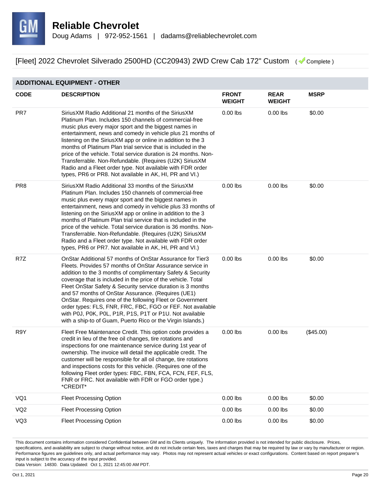

#### **ADDITIONAL EQUIPMENT - OTHER**

| <b>CODE</b>     | <b>DESCRIPTION</b>                                                                                                                                                                                                                                                                                                                                                                                                                                                                                                                                                                                                              | <b>FRONT</b><br><b>WEIGHT</b> | <b>REAR</b><br><b>WEIGHT</b> | <b>MSRP</b> |
|-----------------|---------------------------------------------------------------------------------------------------------------------------------------------------------------------------------------------------------------------------------------------------------------------------------------------------------------------------------------------------------------------------------------------------------------------------------------------------------------------------------------------------------------------------------------------------------------------------------------------------------------------------------|-------------------------------|------------------------------|-------------|
| PR7             | SiriusXM Radio Additional 21 months of the SiriusXM<br>Platinum Plan. Includes 150 channels of commercial-free<br>music plus every major sport and the biggest names in<br>entertainment, news and comedy in vehicle plus 21 months of<br>listening on the SiriusXM app or online in addition to the 3<br>months of Platinum Plan trial service that is included in the<br>price of the vehicle. Total service duration is 24 months. Non-<br>Transferrable. Non-Refundable. (Requires (U2K) SiriusXM<br>Radio and a Fleet order type. Not available with FDR order<br>types, PR6 or PR8. Not available in AK, HI, PR and VI.)  | $0.00$ lbs                    | $0.00$ lbs                   | \$0.00      |
| PR <sub>8</sub> | SiriusXM Radio Additional 33 months of the SiriusXM<br>Platinum Plan. Includes 150 channels of commercial-free<br>music plus every major sport and the biggest names in<br>entertainment, news and comedy in vehicle plus 33 months of<br>listening on the SiriusXM app or online in addition to the 3<br>months of Platinum Plan trial service that is included in the<br>price of the vehicle. Total service duration is 36 months. Non-<br>Transferrable. Non-Refundable. (Requires (U2K) SiriusXM<br>Radio and a Fleet order type. Not available with FDR order<br>types, PR6 or PR7. Not available in AK, HI, PR and VI.)  | $0.00$ lbs                    | $0.00$ lbs                   | \$0.00      |
| R7Z             | OnStar Additional 57 months of OnStar Assurance for Tier3<br>Fleets. Provides 57 months of OnStar Assurance service in<br>addition to the 3 months of complimentary Safety & Security<br>coverage that is included in the price of the vehicle. Total<br>Fleet OnStar Safety & Security service duration is 3 months<br>and 57 months of OnStar Assurance. (Requires (UE1)<br>OnStar. Requires one of the following Fleet or Government<br>order types: FLS, FNR, FRC, FBC, FGO or FEF. Not available<br>with P0J, P0K, P0L, P1R, P1S, P1T or P1U. Not available<br>with a ship-to of Guam, Puerto Rico or the Virgin Islands.) | $0.00$ lbs                    | $0.00$ lbs                   | \$0.00      |
| R9Y             | Fleet Free Maintenance Credit. This option code provides a<br>credit in lieu of the free oil changes, tire rotations and<br>inspections for one maintenance service during 1st year of<br>ownership. The invoice will detail the applicable credit. The<br>customer will be responsible for all oil change, tire rotations<br>and inspections costs for this vehicle. (Requires one of the<br>following Fleet order types: FBC, FBN, FCA, FCN, FEF, FLS,<br>FNR or FRC. Not available with FDR or FGO order type.)<br>*CREDIT*                                                                                                  | $0.00$ lbs                    | $0.00$ lbs                   | (\$45.00)   |
| VQ1             | <b>Fleet Processing Option</b>                                                                                                                                                                                                                                                                                                                                                                                                                                                                                                                                                                                                  | $0.00$ lbs                    | $0.00$ lbs                   | \$0.00      |
| VQ <sub>2</sub> | <b>Fleet Processing Option</b>                                                                                                                                                                                                                                                                                                                                                                                                                                                                                                                                                                                                  | $0.00$ lbs                    | $0.00$ lbs                   | \$0.00      |
| VQ3             | <b>Fleet Processing Option</b>                                                                                                                                                                                                                                                                                                                                                                                                                                                                                                                                                                                                  | $0.00$ lbs                    | $0.00$ lbs                   | \$0.00      |

This document contains information considered Confidential between GM and its Clients uniquely. The information provided is not intended for public disclosure. Prices, specifications, and availability are subject to change without notice, and do not include certain fees, taxes and charges that may be required by law or vary by manufacturer or region. Performance figures are guidelines only, and actual performance may vary. Photos may not represent actual vehicles or exact configurations. Content based on report preparer's input is subject to the accuracy of the input provided.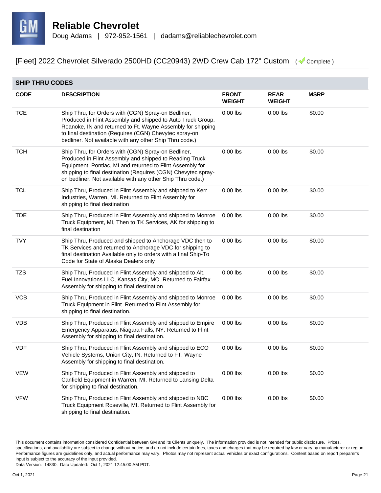

|             | <b>SHIP THRU CODES</b>                                                                                                                                                                                                                                                                                     |                               |                              |             |  |  |  |
|-------------|------------------------------------------------------------------------------------------------------------------------------------------------------------------------------------------------------------------------------------------------------------------------------------------------------------|-------------------------------|------------------------------|-------------|--|--|--|
| <b>CODE</b> | <b>DESCRIPTION</b>                                                                                                                                                                                                                                                                                         | <b>FRONT</b><br><b>WEIGHT</b> | <b>REAR</b><br><b>WEIGHT</b> | <b>MSRP</b> |  |  |  |
| <b>TCE</b>  | Ship Thru, for Orders with (CGN) Spray-on Bedliner,<br>Produced in Flint Assembly and shipped to Auto Truck Group,<br>Roanoke, IN and returned to Ft. Wayne Assembly for shipping<br>to final destination (Requires (CGN) Chevytec spray-on<br>bedliner. Not available with any other Ship Thru code.)     | $0.00$ lbs                    | $0.00$ lbs                   | \$0.00      |  |  |  |
| <b>TCH</b>  | Ship Thru, for Orders with (CGN) Spray-on Bedliner,<br>Produced in Flint Assembly and shipped to Reading Truck<br>Equipment, Pontiac, MI and returned to Flint Assembly for<br>shipping to final destination (Requires (CGN) Chevytec spray-<br>on bedliner. Not available with any other Ship Thru code.) | $0.00$ lbs                    | $0.00$ lbs                   | \$0.00      |  |  |  |
| <b>TCL</b>  | Ship Thru, Produced in Flint Assembly and shipped to Kerr<br>Industries, Warren, MI. Returned to Flint Assembly for<br>shipping to final destination                                                                                                                                                       | $0.00$ lbs                    | $0.00$ lbs                   | \$0.00      |  |  |  |
| <b>TDE</b>  | Ship Thru, Produced in Flint Assembly and shipped to Monroe<br>Truck Equipment, MI, Then to TK Services, AK for shipping to<br>final destination                                                                                                                                                           | $0.00$ lbs                    | $0.00$ lbs                   | \$0.00      |  |  |  |
| <b>TVY</b>  | Ship Thru, Produced and shipped to Anchorage VDC then to<br>TK Services and returned to Anchorage VDC for shipping to<br>final destination Available only to orders with a final Ship-To<br>Code for State of Alaska Dealers only                                                                          | $0.00$ lbs                    | $0.00$ lbs                   | \$0.00      |  |  |  |
| TZS         | Ship Thru, Produced in Flint Assembly and shipped to Alt.<br>Fuel Innovations LLC, Kansas City, MO. Returned to Fairfax<br>Assembly for shipping to final destination                                                                                                                                      | $0.00$ lbs                    | $0.00$ lbs                   | \$0.00      |  |  |  |
| <b>VCB</b>  | Ship Thru, Produced in Flint Assembly and shipped to Monroe<br>Truck Equipment in Flint. Returned to Flint Assembly for<br>shipping to final destination.                                                                                                                                                  | $0.00$ lbs                    | $0.00$ lbs                   | \$0.00      |  |  |  |
| <b>VDB</b>  | Ship Thru, Produced in Flint Assembly and shipped to Empire<br>Emergency Apparatus, Niagara Falls, NY. Returned to Flint<br>Assembly for shipping to final destination.                                                                                                                                    | $0.00$ lbs                    | $0.00$ lbs                   | \$0.00      |  |  |  |
| VDF         | Ship Thru, Produced in Flint Assembly and shipped to ECO<br>Vehicle Systems, Union City, IN. Returned to FT. Wayne<br>Assembly for shipping to final destination.                                                                                                                                          | $0.00$ lbs                    | $0.00$ lbs                   | \$0.00      |  |  |  |
| <b>VEW</b>  | Ship Thru, Produced in Flint Assembly and shipped to<br>Canfield Equipment in Warren, MI. Returned to Lansing Delta<br>for shipping to final destination.                                                                                                                                                  | $0.00$ lbs                    | $0.00$ lbs                   | \$0.00      |  |  |  |
| <b>VFW</b>  | Ship Thru, Produced in Flint Assembly and shipped to NBC<br>Truck Equipment Roseville, MI. Returned to Flint Assembly for<br>shipping to final destination.                                                                                                                                                | $0.00$ lbs                    | $0.00$ lbs                   | \$0.00      |  |  |  |

This document contains information considered Confidential between GM and its Clients uniquely. The information provided is not intended for public disclosure. Prices, specifications, and availability are subject to change without notice, and do not include certain fees, taxes and charges that may be required by law or vary by manufacturer or region. Performance figures are guidelines only, and actual performance may vary. Photos may not represent actual vehicles or exact configurations. Content based on report preparer's input is subject to the accuracy of the input provided.